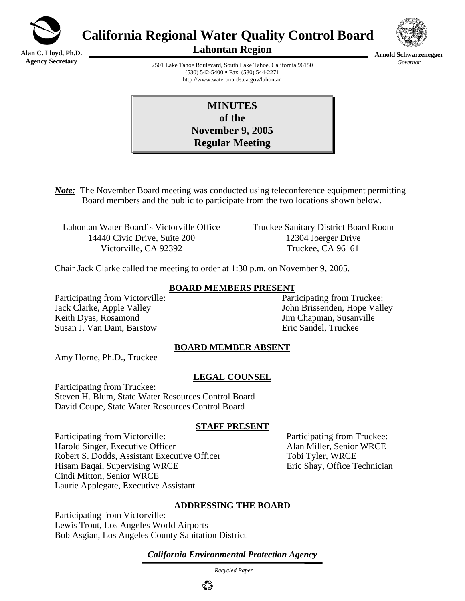

**California Regional Water Quality Control Board** 

**Alan C. Lloyd, Ph.D. Agency Secretary**

**Lahontan Region** 



**Arnold Schwarzenegger** *Governor* 

2501 Lake Tahoe Boulevard, South Lake Tahoe, California 96150 (530) 542-5400 • Fax (530) 544-2271 http://www.waterboards.ca.gov/lahontan

| <b>MINUTES</b>          |  |
|-------------------------|--|
| of the                  |  |
| <b>November 9, 2005</b> |  |
| <b>Regular Meeting</b>  |  |

*Note:* The November Board meeting was conducted using teleconference equipment permitting Board members and the public to participate from the two locations shown below.

Lahontan Water Board's Victorville Office Truckee Sanitary District Board Room 14440 Civic Drive, Suite 200 12304 Joerger Drive Victorville, CA 92392 Truckee, CA 96161

Chair Jack Clarke called the meeting to order at 1:30 p.m. on November 9, 2005.

#### **BOARD MEMBERS PRESENT**

Participating from Victorville: Participating from Truckee: Keith Dyas, Rosamond **View School State Associates** Jim Chapman, Susanville Susan J. Van Dam, Barstow Eric Sandel, Truckee

Jack Clarke, Apple Valley John Brissenden, Hope Valley

#### **BOARD MEMBER ABSENT**

Amy Horne, Ph.D., Truckee

#### **LEGAL COUNSEL**

Participating from Truckee: Steven H. Blum, State Water Resources Control Board David Coupe, State Water Resources Control Board

#### **STAFF PRESENT**

Participating from Victorville: Participating from Truckee: Harold Singer, Executive Officer **Alan Miller**, Senior WRCE Robert S. Dodds, Assistant Executive Officer Tobi Tyler, WRCE Hisam Baqai, Supervising WRCE Eric Shay, Office Technician Cindi Mitton, Senior WRCE Laurie Applegate, Executive Assistant

#### **ADDRESSING THE BOARD**

Participating from Victorville: Lewis Trout, Los Angeles World Airports Bob Asgian, Los Angeles County Sanitation District

*California Environmental Protection Agency*

 *Recycled Paper*

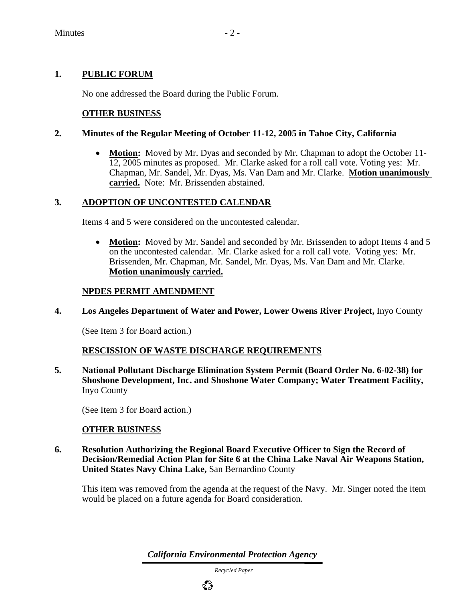# **1. PUBLIC FORUM**

No one addressed the Board during the Public Forum.

## **OTHER BUSINESS**

## **2. Minutes of the Regular Meeting of October 11-12, 2005 in Tahoe City, California**

• **Motion:** Moved by Mr. Dyas and seconded by Mr. Chapman to adopt the October 11-12, 2005 minutes as proposed. Mr. Clarke asked for a roll call vote. Voting yes: Mr. Chapman, Mr. Sandel, Mr. Dyas, Ms. Van Dam and Mr. Clarke. **Motion unanimously carried.** Note: Mr. Brissenden abstained.

## **3. ADOPTION OF UNCONTESTED CALENDAR**

Items 4 and 5 were considered on the uncontested calendar.

• **Motion:** Moved by Mr. Sandel and seconded by Mr. Brissenden to adopt Items 4 and 5 on the uncontested calendar. Mr. Clarke asked for a roll call vote. Voting yes: Mr. Brissenden, Mr. Chapman, Mr. Sandel, Mr. Dyas, Ms. Van Dam and Mr. Clarke. **Motion unanimously carried.**

## **NPDES PERMIT AMENDMENT**

**4. Los Angeles Department of Water and Power, Lower Owens River Project,** Inyo County

(See Item 3 for Board action.)

## **RESCISSION OF WASTE DISCHARGE REQUIREMENTS**

**5. National Pollutant Discharge Elimination System Permit (Board Order No. 6-02-38) for Shoshone Development, Inc. and Shoshone Water Company; Water Treatment Facility,**  Inyo County

(See Item 3 for Board action.)

## **OTHER BUSINESS**

**6. Resolution Authorizing the Regional Board Executive Officer to Sign the Record of Decision/Remedial Action Plan for Site 6 at the China Lake Naval Air Weapons Station, United States Navy China Lake,** San Bernardino County

This item was removed from the agenda at the request of the Navy. Mr. Singer noted the item would be placed on a future agenda for Board consideration.

*California Environmental Protection Agency*

 *Recycled Paper*

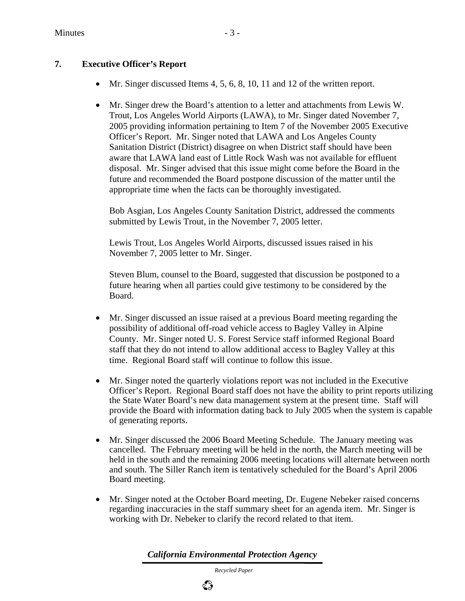# **7. Executive Officer's Report**

- Mr. Singer discussed Items 4, 5, 6, 8, 10, 11 and 12 of the written report.
- Mr. Singer drew the Board's attention to a letter and attachments from Lewis W. Trout, Los Angeles World Airports (LAWA), to Mr. Singer dated November 7, 2005 providing information pertaining to Item 7 of the November 2005 Executive Officer's Report. Mr. Singer noted that LAWA and Los Angeles County Sanitation District (District) disagree on when District staff should have been aware that LAWA land east of Little Rock Wash was not available for effluent disposal. Mr. Singer advised that this issue might come before the Board in the future and recommended the Board postpone discussion of the matter until the appropriate time when the facts can be thoroughly investigated.

Bob Asgian, Los Angeles County Sanitation District, addressed the comments submitted by Lewis Trout, in the November 7, 2005 letter.

Lewis Trout, Los Angeles World Airports, discussed issues raised in his November 7, 2005 letter to Mr. Singer.

Steven Blum, counsel to the Board, suggested that discussion be postponed to a future hearing when all parties could give testimony to be considered by the Board.

- Mr. Singer discussed an issue raised at a previous Board meeting regarding the possibility of additional off-road vehicle access to Bagley Valley in Alpine County. Mr. Singer noted U. S. Forest Service staff informed Regional Board staff that they do not intend to allow additional access to Bagley Valley at this time. Regional Board staff will continue to follow this issue.
- Mr. Singer noted the quarterly violations report was not included in the Executive Officer's Report. Regional Board staff does not have the ability to print reports utilizing the State Water Board's new data management system at the present time. Staff will provide the Board with information dating back to July 2005 when the system is capable of generating reports.
- Mr. Singer discussed the 2006 Board Meeting Schedule. The January meeting was cancelled. The February meeting will be held in the north, the March meeting will be held in the south and the remaining 2006 meeting locations will alternate between north and south. The Siller Ranch item is tentatively scheduled for the Board's April 2006 Board meeting.
- Mr. Singer noted at the October Board meeting, Dr. Eugene Nebeker raised concerns regarding inaccuracies in the staff summary sheet for an agenda item. Mr. Singer is working with Dr. Nebeker to clarify the record related to that item.

*California Environmental Protection Agency*